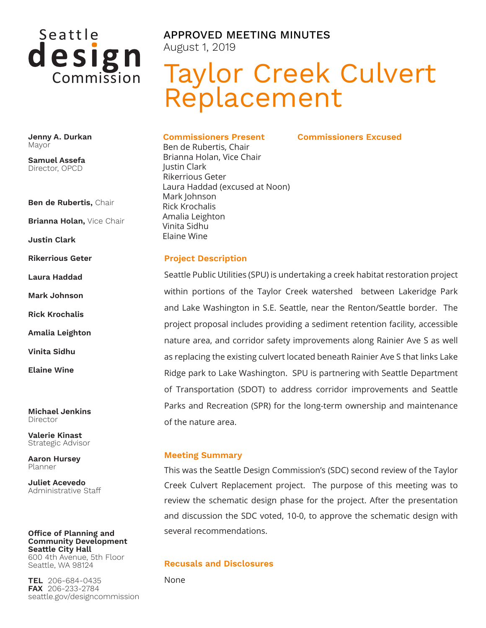

**Jenny A. Durkan** Mayor

**Samuel Assefa** Director, OPCD

**Ben de Rubertis,** Chair

**Brianna Holan,** Vice Chair

**Justin Clark**

**Rikerrious Geter**

**Laura Haddad**

**Mark Johnson**

**Rick Krochalis**

**Amalia Leighton**

**Vinita Sidhu**

**Elaine Wine**

**Michael Jenkins** Director

**Valerie Kinast** Strategic Advisor

**Aaron Hursey** Planner

**Juliet Acevedo** Administrative Staff

#### **Office of Planning and Community Development Seattle City Hall** 600 4th Avenue, 5th Floor

Seattle, WA 98124

**TEL** 206-684-0435 **FAX** 206-233-2784 seattle.gov/designcommission APPROVED MEETING MINUTES August 1, 2019

# Taylor Creek Culvert Replacement

**Commissioners Excused**

#### **Commissioners Present**

Ben de Rubertis, Chair Brianna Holan, Vice Chair Justin Clark Rikerrious Geter Laura Haddad (excused at Noon) Mark Johnson Rick Krochalis Amalia Leighton Vinita Sidhu Elaine Wine

#### **Project Description**

Seattle Public Utilities (SPU) is undertaking a creek habitat restoration project within portions of the Taylor Creek watershed between Lakeridge Park and Lake Washington in S.E. Seattle, near the Renton/Seattle border. The project proposal includes providing a sediment retention facility, accessible nature area, and corridor safety improvements along Rainier Ave S as well as replacing the existing culvert located beneath Rainier Ave S that links Lake Ridge park to Lake Washington. SPU is partnering with Seattle Department of Transportation (SDOT) to address corridor improvements and Seattle Parks and Recreation (SPR) for the long-term ownership and maintenance of the nature area.

#### **Meeting Summary**

This was the Seattle Design Commission's (SDC) second review of the Taylor Creek Culvert Replacement project. The purpose of this meeting was to review the schematic design phase for the project. After the presentation and discussion the SDC voted, 10-0, to approve the schematic design with several recommendations.

#### **Recusals and Disclosures**

None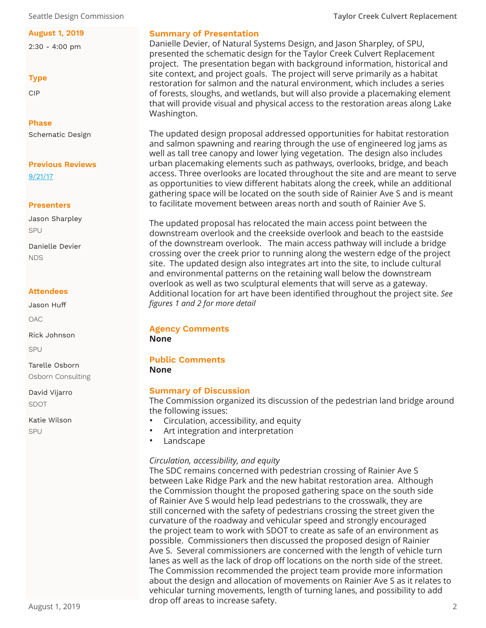Seattle Design Commission **Taylor Creek Culvert Replacement**

#### **August 1, 2019**

2:30 - 4:00 pm

#### **Type**

CIP

# **Phase**

Schematic Design

#### **Previous Reviews** [9/21/17](https://www.seattle.gov/Documents/Departments/OPCD/DesignCommission/TaylorCreekCulvertReplacementProject/SeattleDesignCommission-2017.09.21TaylorCreekCulvertReplacementProjectminutes.pdf)

#### **Presenters**

Jason Sharpley SPU Danielle Devier

NDS

#### **Attendees**

Jason Huff

OAC

Rick Johnson SPU

Tarelle Osborn Osborn Consulting

David Vijarro SDOT

Katie Wilson SPU

#### **Summary of Presentation**

Danielle Devier, of Natural Systems Design, and Jason Sharpley, of SPU, presented the schematic design for the Taylor Creek Culvert Replacement project. The presentation began with background information, historical and site context, and project goals. The project will serve primarily as a habitat restoration for salmon and the natural environment, which includes a series of forests, sloughs, and wetlands, but will also provide a placemaking element that will provide visual and physical access to the restoration areas along Lake Washington.

The updated design proposal addressed opportunities for habitat restoration and salmon spawning and rearing through the use of engineered log jams as well as tall tree canopy and lower lying vegetation. The design also includes urban placemaking elements such as pathways, overlooks, bridge, and beach access. Three overlooks are located throughout the site and are meant to serve as opportunities to view different habitats along the creek, while an additional gathering space will be located on the south side of Rainier Ave S and is meant to facilitate movement between areas north and south of Rainier Ave S.

The updated proposal has relocated the main access point between the downstream overlook and the creekside overlook and beach to the eastside of the downstream overlook. The main access pathway will include a bridge crossing over the creek prior to running along the western edge of the project site. The updated design also integrates art into the site, to include cultural and environmental patterns on the retaining wall below the downstream overlook as well as two sculptural elements that will serve as a gateway. Additional location for art have been identified throughout the project site. *See figures 1 and 2 for more detail*

# **Agency Comments**

**None**

# **Public Comments**

**None**

# **Summary of Discussion**

The Commission organized its discussion of the pedestrian land bridge around the following issues:

- Circulation, accessibility, and equity
- Art integration and interpretation
- **Landscape**

# *Circulation, accessibility, and equity*

The SDC remains concerned with pedestrian crossing of Rainier Ave S between Lake Ridge Park and the new habitat restoration area. Although the Commission thought the proposed gathering space on the south side of Rainier Ave S would help lead pedestrians to the crosswalk, they are still concerned with the safety of pedestrians crossing the street given the curvature of the roadway and vehicular speed and strongly encouraged the project team to work with SDOT to create as safe of an environment as possible. Commissioners then discussed the proposed design of Rainier Ave S. Several commissioners are concerned with the length of vehicle turn lanes as well as the lack of drop off locations on the north side of the street. The Commission recommended the project team provide more information about the design and allocation of movements on Rainier Ave S as it relates to vehicular turning movements, length of turning lanes, and possibility to add drop off areas to increase safety.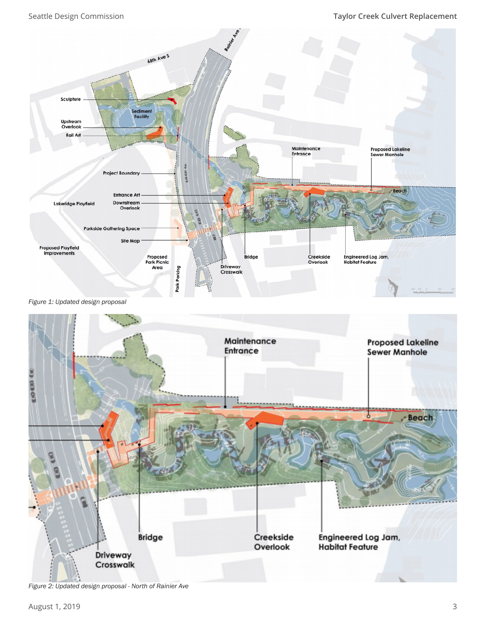### Seattle Design Commission **Taylor Creek Culvert Replacement**



*Figure 1: Updated design proposal*



*Figure 2: Updated design proposal - North of Rainier Ave*